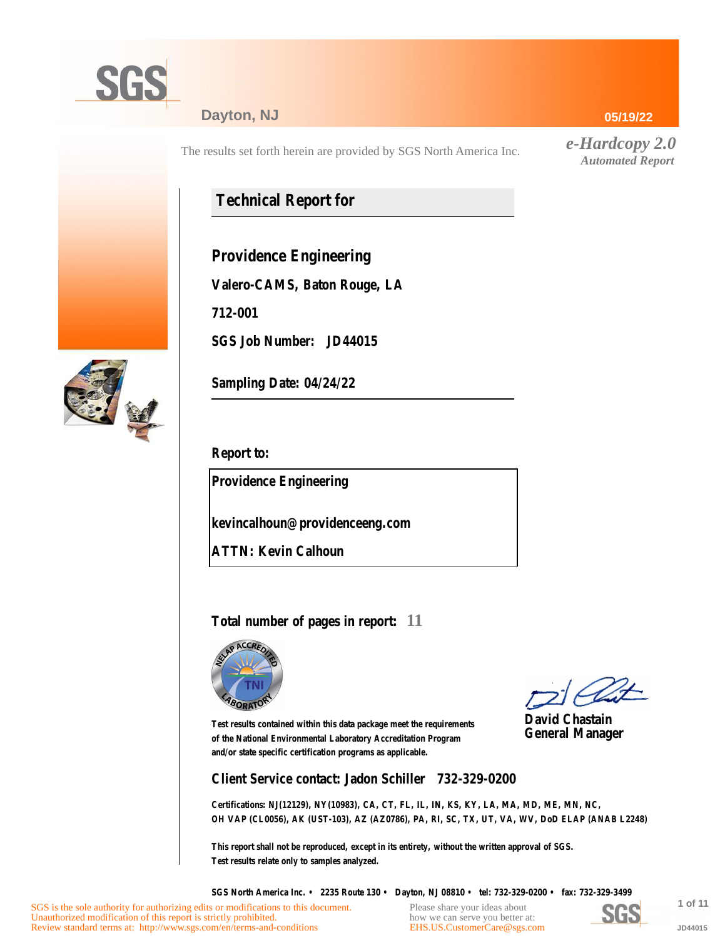

### **Dayton, NJ**

The results set forth herein are provided by SGS North America Inc.

## **Technical Report for**

**Providence Engineering**

**Valero-CAMS, Baton Rouge, LA**

**712-001**

**SGS Job Number: JD44015**



**Sampling Date: 04/24/22**

**Report to:**

**Providence Engineering**

**kevincalhoun@providenceeng.com**

**ATTN: Kevin Calhoun**

### **Total number of pages in report: 11**



**David Chastain General Manager**

**Test results contained within this data package meet the requirements of the National Environmental Laboratory Accreditation Program and/or state specific certification programs as applicable.**

**Client Service contact: Jadon Schiller 732-329-0200**

**Certifications: NJ(12129), NY(10983), CA, CT, FL, IL, IN, KS, KY, LA, MA, MD, ME, MN, NC, OH VAP (CL0056), AK (UST-103), AZ (AZ0786), PA, RI, SC, TX, UT, VA, WV, DoD ELAP (ANAB L2248)**

**This report shall not be reproduced, except in its entirety, without the written approval of SGS. Test results relate only to samples analyzed.**

**SGS North America Inc. • 2235 Route 130 • Dayton, NJ 08810 • tel: 732-329-0200 • fax: 732-329-3499**

Please share your ideas about how we can serve you better at: [EHS.US.CustomerCare@sgs.com](mailto:EHS.US.CustomerCare@sgs.com?subject=Customer care improvement idea (report JD44015))

**JU:** 

**1 of 11 JD44015**

#### **05/19/22**

*e-Hardcopy 2.0 Automated Report*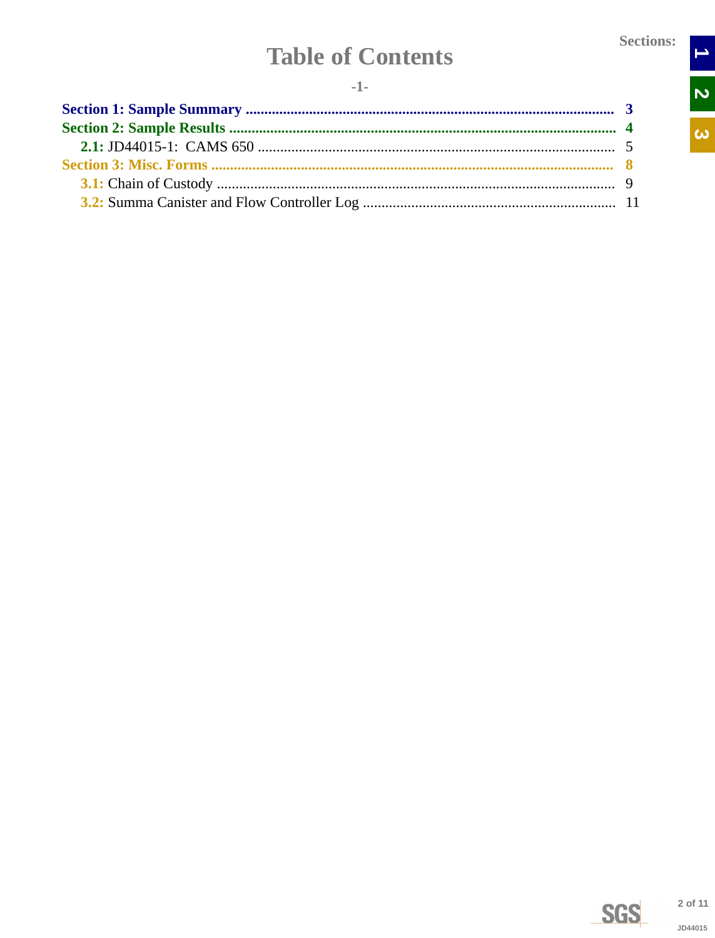$\rightarrow$ 

N<br>N

 $\overline{\omega}$ 

# **Table of Contents**

<span id="page-1-0"></span>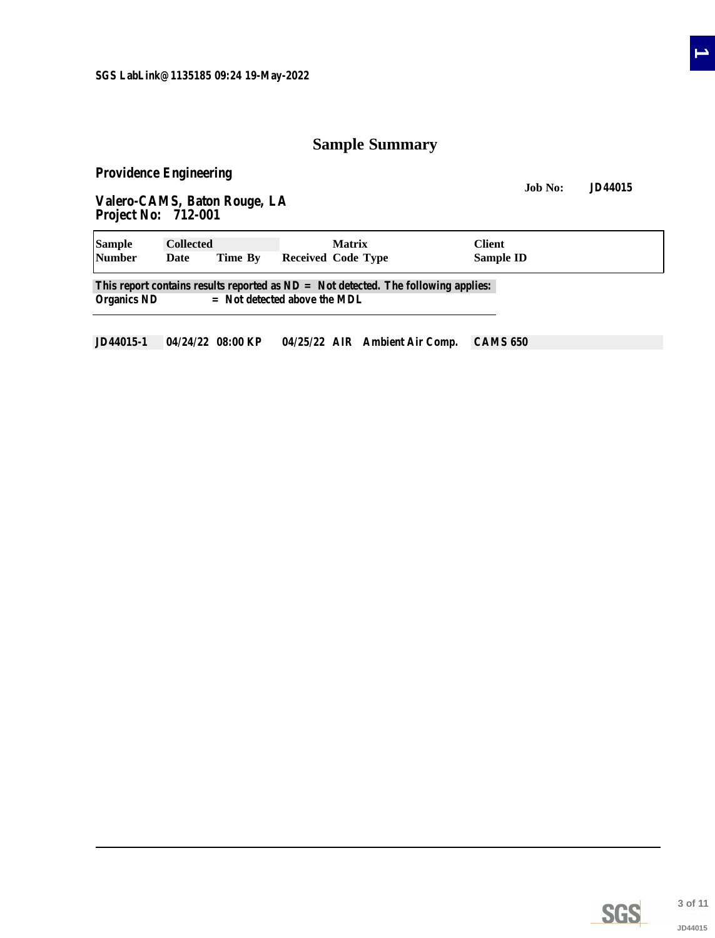## **Sample Summary**

<span id="page-2-0"></span>**Providence Engineering**

**Job No: JD44015 Valero-CAMS, Baton Rouge, LA Project No: 712-001**

| <b>Sample</b><br><b>Collected</b> |      | <b>Matrix</b> | Client                                                                                                                 |                  |  |
|-----------------------------------|------|---------------|------------------------------------------------------------------------------------------------------------------------|------------------|--|
| <b>Number</b>                     | Date | Time By       | Received Code Type                                                                                                     | <b>Sample ID</b> |  |
| <b>Organics ND</b>                |      |               | This report contains results reported as $ND = Not$ detected. The following applies:<br>$=$ Not detected above the MDL |                  |  |

**JD44015-1 04/24/22 08:00 KP 04/25/22 AIR Ambient Air Comp. CAMS 650**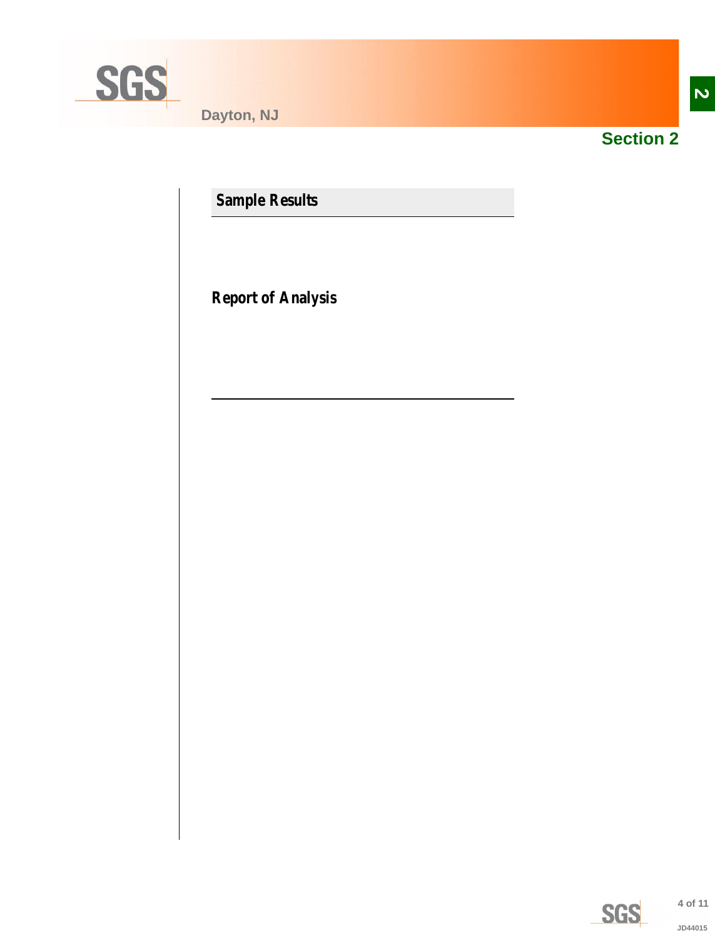<span id="page-3-0"></span>

**Dayton, NJ**



**Section 2**

**Sample Results**

**Report of Analysis**

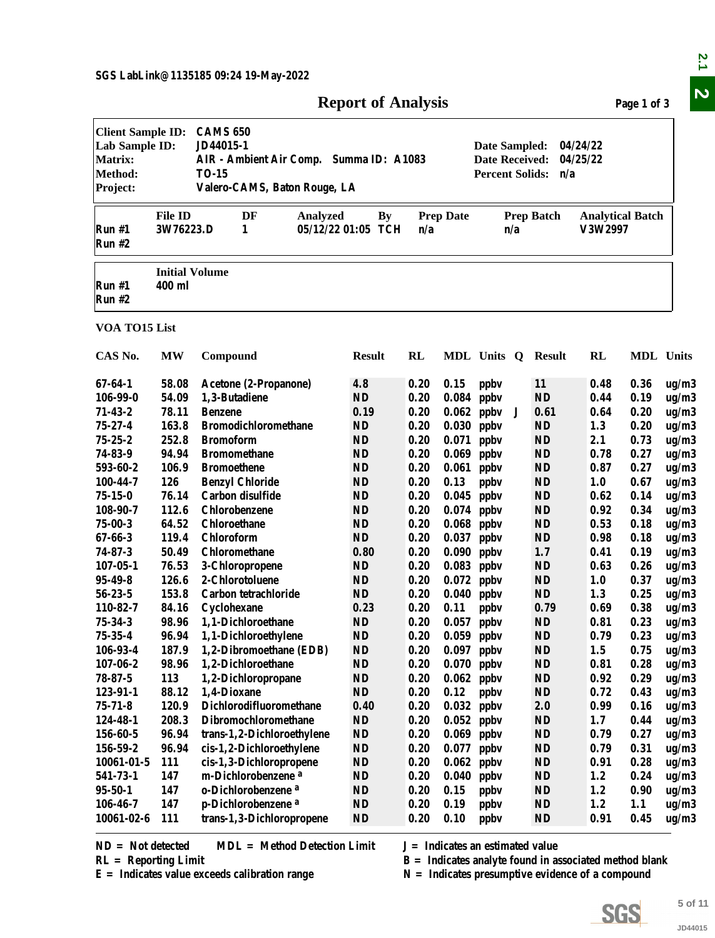| <b>Report of Analysis</b> |  |  |  |
|---------------------------|--|--|--|
|---------------------------|--|--|--|

<span id="page-4-0"></span>

|                                                                                            |                                 |                                                                                                                                                                                                                            | <b>Report of Analysis</b>           |              |                  |                                    |                                                                                                                |                                    | Page 1 of 3  |                |  |  |
|--------------------------------------------------------------------------------------------|---------------------------------|----------------------------------------------------------------------------------------------------------------------------------------------------------------------------------------------------------------------------|-------------------------------------|--------------|------------------|------------------------------------|----------------------------------------------------------------------------------------------------------------|------------------------------------|--------------|----------------|--|--|
| <b>Client Sample ID:</b><br>Lab Sample ID:<br><b>Matrix:</b><br><b>Method:</b><br>Project: |                                 | <b>CAMS 650</b><br>JD44015-1<br>04/24/22<br>Date Sampled:<br>AIR - Ambient Air Comp. Summa ID: A1083<br><b>Date Received:</b><br>04/25/22<br><b>TO-15</b><br><b>Percent Solids:</b><br>n/a<br>Valero-CAMS, Baton Rouge, LA |                                     |              |                  |                                    |                                                                                                                |                                    |              |                |  |  |
| Run#1<br><b>Run #2</b>                                                                     | <b>File ID</b><br>3W76223.D     | DF<br>Analyzed<br>1                                                                                                                                                                                                        | <b>By</b><br>05/12/22 01:05 TCH     | n/a          | <b>Prep Date</b> | n/a                                | <b>Prep Batch</b>                                                                                              | <b>Analytical Batch</b><br>V3W2997 |              |                |  |  |
| Run #1<br><b>Run #2</b>                                                                    | <b>Initial Volume</b><br>400 ml |                                                                                                                                                                                                                            |                                     |              |                  |                                    |                                                                                                                |                                    |              |                |  |  |
| VOA TO15 List                                                                              |                                 |                                                                                                                                                                                                                            |                                     |              |                  |                                    |                                                                                                                |                                    |              |                |  |  |
| CAS No.                                                                                    | <b>MW</b>                       | Compound                                                                                                                                                                                                                   | <b>Result</b>                       | <b>RL</b>    |                  | MDL Units Q Result                 |                                                                                                                | RL                                 | MDL Units    |                |  |  |
| $67 - 64 - 1$                                                                              | 58.08                           | Acetone (2-Propanone)                                                                                                                                                                                                      | 4.8                                 | 0.20         | 0.15             | ppby                               | <b>11</b>                                                                                                      | 0.48                               | 0.36         | ug/m3          |  |  |
| 106-99-0                                                                                   | 54.09                           | 1,3-Butadiene                                                                                                                                                                                                              | $\bf ND$                            | 0.20         | 0.084            | ppbv                               | <b>ND</b>                                                                                                      | 0.44                               | 0.19         | ug/m3          |  |  |
| $71 - 43 - 2$                                                                              | 78.11                           | <b>Benzene</b>                                                                                                                                                                                                             | 0.19                                | 0.20         | 0.062            | ppby<br>J                          | 0.61                                                                                                           | 0.64                               | 0.20         | ug/m3          |  |  |
| $75 - 27 - 4$                                                                              | 163.8                           | <b>Bromodichloromethane</b>                                                                                                                                                                                                | ND                                  | 0.20         | 0.030            | ppby                               | <b>ND</b>                                                                                                      | 1.3                                | 0.20         | ug/m3          |  |  |
| $75 - 25 - 2$                                                                              | 252.8                           | <b>Bromoform</b>                                                                                                                                                                                                           | <b>ND</b>                           | 0.20         | 0.071            | ppby                               | <b>ND</b>                                                                                                      | 2.1                                | 0.73         | ug/m3          |  |  |
| 74-83-9                                                                                    | 94.94                           | <b>Bromomethane</b>                                                                                                                                                                                                        | <b>ND</b>                           | 0.20         | 0.069            | ppby                               | <b>ND</b>                                                                                                      | 0.78                               | 0.27         | ug/m3          |  |  |
| 593-60-2                                                                                   | 106.9                           | <b>Bromoethene</b>                                                                                                                                                                                                         | <b>ND</b>                           | 0.20         | 0.061            | ppby                               | <b>ND</b>                                                                                                      | 0.87                               | 0.27         | ug/m3          |  |  |
| 100-44-7                                                                                   | 126                             | <b>Benzyl Chloride</b>                                                                                                                                                                                                     | <b>ND</b>                           | 0.20         | 0.13             | ppby                               | <b>ND</b>                                                                                                      | 1.0                                | 0.67         | ug/m3          |  |  |
| $75 - 15 - 0$                                                                              | 76.14                           | Carbon disulfide                                                                                                                                                                                                           | <b>ND</b>                           | 0.20         | 0.045            | ppby                               | <b>ND</b>                                                                                                      | 0.62                               | 0.14         | ug/m3          |  |  |
| 108-90-7                                                                                   | 112.6                           | Chlorobenzene                                                                                                                                                                                                              | <b>ND</b>                           | 0.20         | 0.074            | ppby                               | <b>ND</b>                                                                                                      | 0.92                               | 0.34         | ug/m3          |  |  |
| $75 - 00 - 3$                                                                              | 64.52                           | <b>Chloroethane</b>                                                                                                                                                                                                        | ND                                  | 0.20         | 0.068            | ppby                               | ND                                                                                                             | 0.53                               | 0.18         | ug/m3          |  |  |
| $67 - 66 - 3$                                                                              | 119.4                           | Chloroform                                                                                                                                                                                                                 | <b>ND</b>                           | 0.20         | 0.037            | ppby                               | <b>ND</b>                                                                                                      | 0.98                               | 0.18         | ug/m3          |  |  |
| $74 - 87 - 3$                                                                              | 50.49                           | Chloromethane                                                                                                                                                                                                              | 0.80                                | 0.20         | 0.090            | ppby                               | 1.7                                                                                                            | 0.41                               | 0.19         | ug/m3          |  |  |
| $107 - 05 - 1$                                                                             | 76.53                           | 3-Chloropropene                                                                                                                                                                                                            | <b>ND</b>                           | 0.20         | 0.083            | ppby                               | <b>ND</b>                                                                                                      | 0.63                               | 0.26         | ug/m3          |  |  |
| $95 - 49 - 8$                                                                              | 126.6                           | 2-Chlorotoluene                                                                                                                                                                                                            | <b>ND</b>                           | 0.20         | 0.072            | ppby                               | <b>ND</b>                                                                                                      | 1.0                                | 0.37         | ug/m3          |  |  |
| $56 - 23 - 5$                                                                              | 153.8                           | Carbon tetrachloride                                                                                                                                                                                                       | <b>ND</b>                           | 0.20         |                  | $0.040$ ppbv                       | <b>ND</b>                                                                                                      | 1.3                                | 0.25         | ug/m3          |  |  |
| 110-82-7                                                                                   | 84.16                           | Cyclohexane                                                                                                                                                                                                                | 0.23                                | 0.20         | 0.11             | ppby                               | 0.79                                                                                                           | 0.69                               | 0.38         | ug/m3          |  |  |
| 75-34-3                                                                                    | 98.96                           | 1,1-Dichloroethane                                                                                                                                                                                                         | <b>ND</b><br>$\mathbf{N}\mathbf{D}$ | 0.20         |                  | $0.057$ ppbv                       | <b>ND</b>                                                                                                      | 0.81                               | 0.23         | ug/m3          |  |  |
| $75 - 35 - 4$                                                                              | 96.94                           | 1,1-Dichloroethylene                                                                                                                                                                                                       |                                     | 0.20<br>0.20 |                  | $0.059$ ppbv                       | <b>ND</b>                                                                                                      | 0.79                               | 0.23         | ug/m3          |  |  |
| 106-93-4<br>$107 - 06 - 2$                                                                 | 187.9<br>98.96                  | 1,2-Dibromoethane (EDB)<br>1,2-Dichloroethane                                                                                                                                                                              | ND<br>ND                            | 0.20         |                  | $0.097$ ppbv                       | <b>ND</b><br><b>ND</b>                                                                                         | 1.5                                | 0.75         | ug/m3          |  |  |
| $78 - 87 - 5$                                                                              | 113                             | 1,2-Dichloropropane                                                                                                                                                                                                        | ND                                  | 0.20         |                  | $0.070$ ppbv<br>$0.062$ ppbv       | <b>ND</b>                                                                                                      | 0.81<br>0.92                       | 0.28<br>0.29 | ug/m3<br>ug/m3 |  |  |
| 123-91-1                                                                                   | 88.12                           | 1,4-Dioxane                                                                                                                                                                                                                | ND                                  | 0.20         | 0.12             |                                    | <b>ND</b>                                                                                                      | 0.72                               | 0.43         |                |  |  |
| $75 - 71 - 8$                                                                              | 120.9                           | Dichlorodifluoromethane                                                                                                                                                                                                    | 0.40                                | 0.20         |                  | ppby<br>$0.032$ ppbv               | 2.0                                                                                                            | 0.99                               | 0.16         | ug/m3          |  |  |
| 124-48-1                                                                                   | 208.3                           | Dibromochloromethane                                                                                                                                                                                                       | ND                                  | 0.20         |                  | $0.052$ ppbv                       | <b>ND</b>                                                                                                      | 1.7                                | 0.44         | ug/m3<br>ug/m3 |  |  |
| 156-60-5                                                                                   | 96.94                           | trans-1,2-Dichloroethylene                                                                                                                                                                                                 | <b>ND</b>                           | 0.20         |                  | $0.069$ ppbv                       | <b>ND</b>                                                                                                      | 0.79                               | 0.27         | ug/m3          |  |  |
| 156-59-2                                                                                   | 96.94                           | cis-1,2-Dichloroethylene                                                                                                                                                                                                   | ND                                  | 0.20         | 0.077            | ppby                               | <b>ND</b>                                                                                                      | 0.79                               | 0.31         | ug/m3          |  |  |
| 10061-01-5                                                                                 | 111                             | cis-1,3-Dichloropropene                                                                                                                                                                                                    | ND                                  | 0.20         | 0.062            | ppby                               | <b>ND</b>                                                                                                      | 0.91                               | 0.28         | ug/m3          |  |  |
| 541-73-1                                                                                   | 147                             | m-Dichlorobenzene <sup>a</sup>                                                                                                                                                                                             | ND                                  | 0.20         | 0.040            | ppby                               | <b>ND</b>                                                                                                      | 1.2                                | 0.24         | ug/m3          |  |  |
| $95 - 50 - 1$                                                                              | 147                             | o-Dichlorobenzene <sup>a</sup>                                                                                                                                                                                             | <b>ND</b>                           | 0.20         | 0.15             | ppby                               | <b>ND</b>                                                                                                      | 1.2                                | 0.90         | ug/m3          |  |  |
| 106-46-7                                                                                   | 147                             | p-Dichlorobenzene <sup>a</sup>                                                                                                                                                                                             | <b>ND</b>                           | 0.20         | 0.19             | ppby                               | <b>ND</b>                                                                                                      | 1.2                                | 1.1          | ug/m3          |  |  |
| $10061 - 02 - 6$                                                                           | 111                             | trans-1,3-Dichloropropene                                                                                                                                                                                                  | <b>ND</b>                           | 0.20         | 0.10             | ppby                               | <b>ND</b>                                                                                                      | 0.91                               | 0.45         | ug/m3          |  |  |
| $ND = Not detected$<br>$RL =$ Reporting Limit                                              |                                 | <b>MDL</b> = Method Detection Limit<br>$E =$ Indicates value exceeds calibration range                                                                                                                                     |                                     |              |                  | $J = Indicates$ an estimated value | $B =$ Indicates analyte found in associated method blank<br>$N =$ Indicates presumptive evidence of a compound |                                    |              |                |  |  |
|                                                                                            |                                 |                                                                                                                                                                                                                            |                                     |              |                  |                                    |                                                                                                                |                                    |              | 5 of 11        |  |  |



**5 of 11**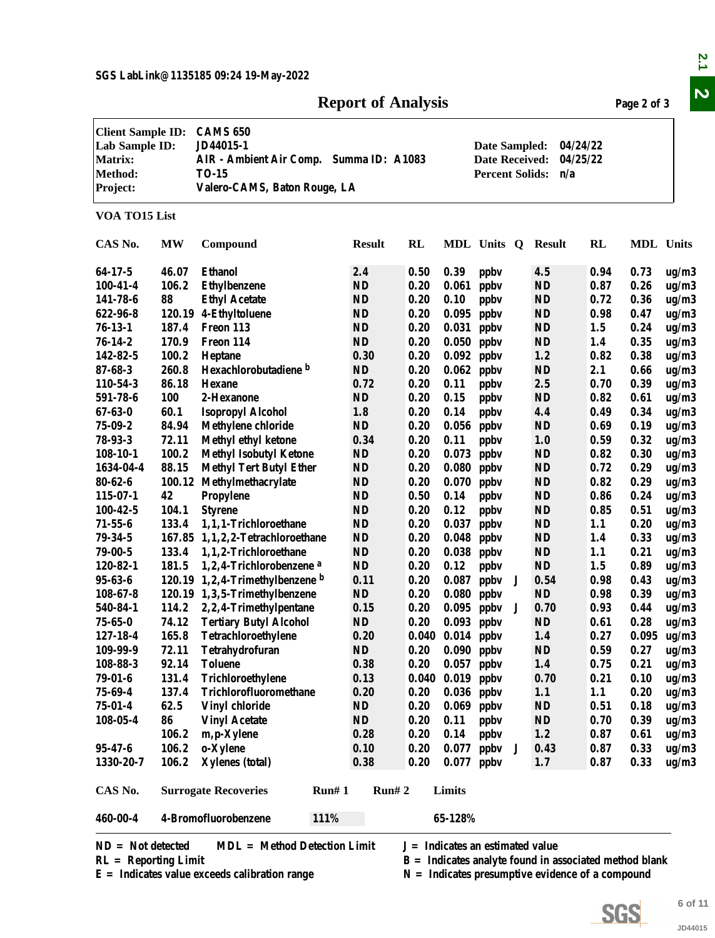### **Report of Analysis** Page 2 of 3

|                                                                                            |            |                                                                                                                                                                                                                            | <b>Report of Analysis</b> |           |                              |                                    |   |                                                          |              | Page 2 of 3      |                |
|--------------------------------------------------------------------------------------------|------------|----------------------------------------------------------------------------------------------------------------------------------------------------------------------------------------------------------------------------|---------------------------|-----------|------------------------------|------------------------------------|---|----------------------------------------------------------|--------------|------------------|----------------|
| <b>Client Sample ID:</b><br>Lab Sample ID:<br><b>Matrix:</b><br><b>Method:</b><br>Project: |            | <b>CAMS 650</b><br>JD44015-1<br>04/24/22<br>Date Sampled:<br>AIR - Ambient Air Comp. Summa ID: A1083<br>04/25/22<br><b>Date Received:</b><br><b>TO-15</b><br><b>Percent Solids:</b><br>n/a<br>Valero-CAMS, Baton Rouge, LA |                           |           |                              |                                    |   |                                                          |              |                  |                |
| VOA TO15 List                                                                              |            |                                                                                                                                                                                                                            |                           |           |                              |                                    |   |                                                          |              |                  |                |
| CAS No.                                                                                    | MW         | Compound                                                                                                                                                                                                                   | <b>Result</b>             | <b>RL</b> |                              | MDL Units Q                        |   | Result                                                   | RL           | <b>MDL</b> Units |                |
| 64-17-5                                                                                    | 46.07      | <b>Ethanol</b>                                                                                                                                                                                                             | 2.4                       | 0.50      | 0.39                         | ppby                               |   | 4.5                                                      | 0.94         | 0.73             | ug/m3          |
| $100 - 41 - 4$                                                                             | 106.2      | <b>Ethylbenzene</b>                                                                                                                                                                                                        | <b>ND</b>                 | 0.20      | 0.061                        | ppby                               |   | <b>ND</b>                                                | 0.87         | 0.26             | ug/m3          |
| 141-78-6                                                                                   | 88         | <b>Ethyl Acetate</b>                                                                                                                                                                                                       | <b>ND</b>                 | 0.20      | 0.10                         | ppby                               |   | <b>ND</b>                                                | 0.72         | 0.36             | ug/m3          |
| 622-96-8                                                                                   |            | 120.19 4-Ethyltoluene                                                                                                                                                                                                      | <b>ND</b>                 | 0.20      | 0.095                        | ppby                               |   | <b>ND</b>                                                | 0.98         | 0.47             | ug/m3          |
| $76 - 13 - 1$                                                                              | 187.4      | Freon 113                                                                                                                                                                                                                  | <b>ND</b>                 | 0.20      | 0.031                        | ppby                               |   | <b>ND</b>                                                | 1.5          | 0.24             | ug/m3          |
| $76 - 14 - 2$                                                                              | 170.9      | Freon 114                                                                                                                                                                                                                  | <b>ND</b>                 | 0.20      | 0.050                        | ppby                               |   | <b>ND</b>                                                | 1.4          | 0.35             | ug/m3          |
| 142-82-5                                                                                   | 100.2      | Heptane                                                                                                                                                                                                                    | 0.30                      | 0.20      | 0.092                        | ppby                               |   | 1.2                                                      | 0.82         | 0.38             | ug/m3          |
| $87 - 68 - 3$                                                                              | 260.8      | Hexachlorobutadiene b                                                                                                                                                                                                      | <b>ND</b>                 | 0.20      | 0.062                        | ppby                               |   | <b>ND</b>                                                | 2.1          | 0.66             | ug/m3          |
| 110-54-3                                                                                   | 86.18      | <b>Hexane</b>                                                                                                                                                                                                              | 0.72                      | 0.20      | 0.11                         | ppby                               |   | 2.5                                                      | 0.70         | 0.39             | ug/m3          |
| 591-78-6                                                                                   | <b>100</b> | 2-Hexanone                                                                                                                                                                                                                 | ND                        | 0.20      | 0.15                         | ppby                               |   | <b>ND</b>                                                | 0.82         | 0.61             | ug/m3          |
| $67 - 63 - 0$                                                                              | 60.1       | <b>Isopropyl Alcohol</b>                                                                                                                                                                                                   | 1.8                       | 0.20      | 0.14                         | ppby                               |   | 4.4                                                      | 0.49         | 0.34             | ug/m3          |
| $75 - 09 - 2$                                                                              | 84.94      | <b>Methylene chloride</b>                                                                                                                                                                                                  | ND                        | 0.20      | 0.056                        | ppby                               |   | <b>ND</b>                                                | 0.69         | 0.19             | ug/m3          |
| $78 - 93 - 3$                                                                              | 72.11      | Methyl ethyl ketone                                                                                                                                                                                                        | 0.34                      | 0.20      | 0.11                         | ppby                               |   | 1.0                                                      | 0.59         | 0.32             | ug/m3          |
| $108-10-1$                                                                                 | 100.2      | <b>Methyl Isobutyl Ketone</b>                                                                                                                                                                                              | ND                        | 0.20      | 0.073                        | ppby                               |   | <b>ND</b>                                                | 0.82         | 0.30             | ug/m3          |
| 1634-04-4                                                                                  | 88.15      | <b>Methyl Tert Butyl Ether</b>                                                                                                                                                                                             | ND                        | 0.20      | 0.080                        | ppby                               |   | <b>ND</b>                                                | 0.72         | 0.29             | ug/m3          |
| $80 - 62 - 6$                                                                              | 100.12     | Methylmethacrylate                                                                                                                                                                                                         | ND                        | 0.20      | 0.070                        | ppby                               |   | <b>ND</b>                                                | 0.82         | 0.29             | ug/m3          |
| $115 - 07 - 1$                                                                             | 42         | Propylene                                                                                                                                                                                                                  | <b>ND</b>                 | 0.50      | 0.14                         | ppby                               |   | <b>ND</b>                                                | 0.86         | 0.24             | ug/m3          |
| $100 - 42 - 5$                                                                             | 104.1      | <b>Styrene</b>                                                                                                                                                                                                             | $\bf ND$                  | 0.20      | 0.12                         | ppby                               |   | <b>ND</b>                                                | 0.85         | 0.51             | ug/m3          |
| $71 - 55 - 6$                                                                              | 133.4      | 1,1,1-Trichloroethane                                                                                                                                                                                                      | $\mathbf{N}\mathbf{D}$    | 0.20      | 0.037                        | ppby                               |   | <b>ND</b>                                                | 1.1          | 0.20             | ug/m3          |
| $79 - 34 - 5$                                                                              |            | 167.85 1,1,2,2-Tetrachloroethane                                                                                                                                                                                           | <b>ND</b>                 | 0.20      | 0.048                        | ppby                               |   | <b>ND</b>                                                | 1.4          | 0.33             | ug/m3          |
| $79 - 00 - 5$                                                                              | 133.4      | 1,1,2-Trichloroethane                                                                                                                                                                                                      | <b>ND</b>                 | 0.20      | 0.038                        | ppby                               |   | <b>ND</b>                                                | 1.1          | 0.21             | ug/m3          |
| 120-82-1                                                                                   | 181.5      | 1,2,4-Trichlorobenzene <sup>a</sup>                                                                                                                                                                                        | <b>ND</b>                 | 0.20      | 0.12                         | ppby                               |   | <b>ND</b>                                                | 1.5          | 0.89             | ug/m3          |
| $95 - 63 - 6$                                                                              |            | 120.19 1,2,4-Trimethylbenzene b                                                                                                                                                                                            | 0.11                      | 0.20      | 0.087                        | ppby                               | J | 0.54                                                     | 0.98         | 0.43             | ug/m3          |
| $108 - 67 - 8$                                                                             |            | 120.19 1,3,5-Trimethylbenzene                                                                                                                                                                                              | <b>ND</b>                 | 0.20      | $0.080$ ppbv                 |                                    |   | ND                                                       | 0.98         | 0.39             | ug/m3          |
| 540-84-1                                                                                   |            | 114.2 2,2,4-Trimethylpentane                                                                                                                                                                                               | 0.15                      | 0.20      |                              |                                    | J | 0.70                                                     | 0.93         | 0.44             |                |
| $75 - 65 - 0$                                                                              | 74.12      | <b>Tertiary Butyl Alcohol</b>                                                                                                                                                                                              | ND                        | 0.20      | $0.095$ ppbv<br>$0.093$ ppbv |                                    |   | <b>ND</b>                                                | 0.61         | 0.28             | ug/m3<br>ug/m3 |
| 127-18-4                                                                                   | 165.8      | Tetrachloroethylene                                                                                                                                                                                                        | 0.20                      |           | $0.040$ $0.014$ ppbv         |                                    |   | 1.4                                                      | 0.27         | 0.095            | ug/m3          |
| 109-99-9                                                                                   | 72.11      | Tetrahydrofuran                                                                                                                                                                                                            | ND                        | 0.20      | $0.090$ ppbv                 |                                    |   | <b>ND</b>                                                | 0.59         | 0.27             | ug/m3          |
| 108-88-3                                                                                   | 92.14      | <b>Toluene</b>                                                                                                                                                                                                             | 0.38                      | 0.20      | $0.057$ ppbv                 |                                    |   | 1.4                                                      | 0.75         | 0.21             | ug/m3          |
| $79 - 01 - 6$                                                                              | 131.4      | Trichloroethylene                                                                                                                                                                                                          | 0.13                      |           | $0.040$ $0.019$ ppbv         |                                    |   | 0.70                                                     | 0.21         | 0.10             | ug/m3          |
| $75 - 69 - 4$                                                                              | 137.4      | Trichlorofluoromethane                                                                                                                                                                                                     | 0.20                      | 0.20      | $0.036$ ppbv                 |                                    |   | 1.1                                                      | 1.1          | 0.20             | ug/m3          |
| $75 - 01 - 4$                                                                              | 62.5       | <b>Vinyl chloride</b>                                                                                                                                                                                                      | ND                        | 0.20      | $0.069$ ppbv                 |                                    |   | <b>ND</b>                                                | 0.51         | 0.18             | ug/m3          |
| $108 - 05 - 4$                                                                             | 86         | <b>Vinyl Acetate</b>                                                                                                                                                                                                       | ND                        | 0.20      | 0.11                         | ppby                               |   | <b>ND</b>                                                | 0.70         | 0.39             | ug/m3          |
|                                                                                            | 106.2      |                                                                                                                                                                                                                            | 0.28                      | 0.20      | 0.14                         |                                    |   | 1.2                                                      | 0.87         | 0.61             |                |
| $95 - 47 - 6$                                                                              | 106.2      | m, p-Xylene                                                                                                                                                                                                                | 0.10                      | 0.20      |                              | ppby                               | J | 0.43                                                     |              | 0.33             | ug/m3          |
| 1330-20-7                                                                                  | 106.2      | o-Xylene<br><b>Xylenes</b> (total)                                                                                                                                                                                         | 0.38                      | 0.20      | 0.077<br>0.077               | ppbv<br>ppby                       |   | 1.7                                                      | 0.87<br>0.87 | 0.33             | ug/m3<br>ug/m3 |
|                                                                                            |            |                                                                                                                                                                                                                            |                           |           |                              |                                    |   |                                                          |              |                  |                |
| CAS No.                                                                                    |            | <b>Surrogate Recoveries</b><br>Run# 1                                                                                                                                                                                      | Run# 2                    |           | Limits                       |                                    |   |                                                          |              |                  |                |
| 460-00-4                                                                                   |            | 4-Bromofluorobenzene<br>111%                                                                                                                                                                                               |                           |           | 65-128%                      |                                    |   |                                                          |              |                  |                |
| $ND = Not detected$                                                                        |            | <b>MDL</b> = Method Detection Limit                                                                                                                                                                                        |                           |           |                              | $J = Indicates$ an estimated value |   |                                                          |              |                  |                |
| $RL =$ Reporting Limit                                                                     |            |                                                                                                                                                                                                                            |                           |           |                              |                                    |   | $B =$ Indicates analyte found in associated method blank |              |                  |                |
|                                                                                            |            | $E =$ Indicates value exceeds calibration range                                                                                                                                                                            |                           |           |                              |                                    |   | $N =$ Indicates presumptive evidence of a compound       |              |                  |                |
|                                                                                            |            |                                                                                                                                                                                                                            |                           |           |                              |                                    |   |                                                          |              |                  |                |
|                                                                                            |            |                                                                                                                                                                                                                            |                           |           |                              |                                    |   |                                                          |              |                  | 6 of 11        |
|                                                                                            |            |                                                                                                                                                                                                                            |                           |           |                              |                                    |   |                                                          | SGS          |                  |                |
|                                                                                            |            |                                                                                                                                                                                                                            |                           |           |                              |                                    |   |                                                          |              |                  | JD44015        |



**6 of 11**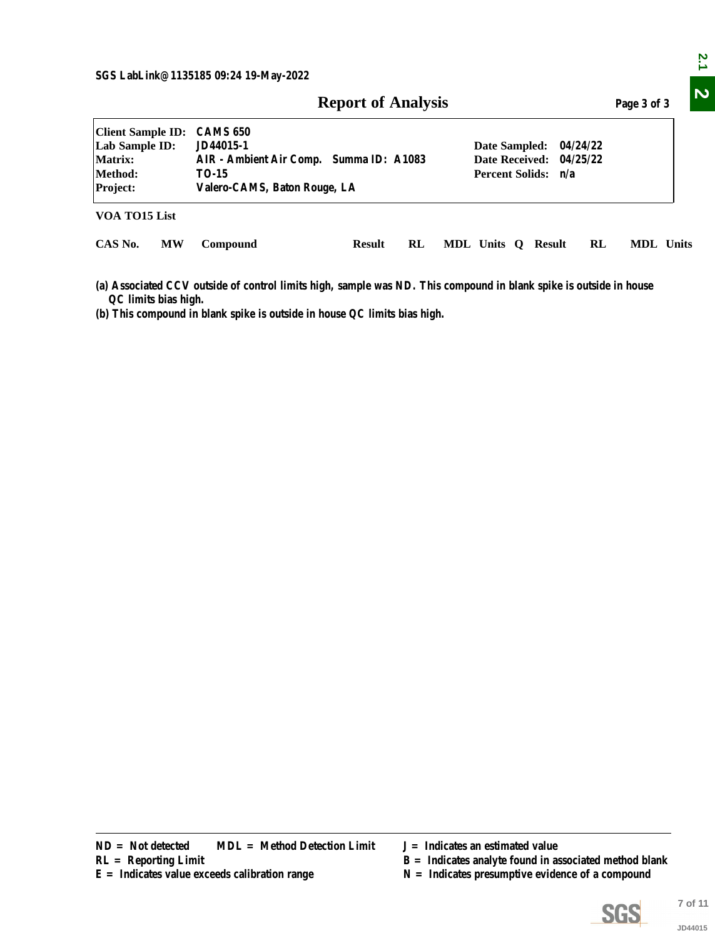|                                                                              |           |                                                                                                                                                                                                                  | <b>Report of Analysis</b> |    |                                    |                    |  |  |    | Page 3 of 3                                                                                                    |                    |
|------------------------------------------------------------------------------|-----------|------------------------------------------------------------------------------------------------------------------------------------------------------------------------------------------------------------------|---------------------------|----|------------------------------------|--------------------|--|--|----|----------------------------------------------------------------------------------------------------------------|--------------------|
| <b>Client Sample ID:</b><br>Lab Sample ID:<br>Matrix:<br>Method:<br>Project: |           | <b>CAMS 650</b><br>JD44015-1<br>Date Sampled:<br>04/24/22<br>AIR - Ambient Air Comp. Summa ID: A1083<br><b>Date Received:</b><br>04/25/22<br>Percent Solids: n/a<br><b>TO-15</b><br>Valero-CAMS, Baton Rouge, LA |                           |    |                                    |                    |  |  |    |                                                                                                                |                    |
| VOA TO15 List                                                                |           |                                                                                                                                                                                                                  |                           |    |                                    |                    |  |  |    |                                                                                                                |                    |
| CAS No.                                                                      | <b>MW</b> | Compound                                                                                                                                                                                                         | <b>Result</b>             | RL |                                    | MDL Units Q Result |  |  | RL | MDL Units                                                                                                      |                    |
| QC limits bias high.                                                         |           | (a) Associated CCV outside of control limits high, sample was ND. This compound in blank spike is outside in house<br>(b) This compound in blank spike is outside in house QC limits bias high.                  |                           |    |                                    |                    |  |  |    |                                                                                                                |                    |
|                                                                              |           |                                                                                                                                                                                                                  |                           |    |                                    |                    |  |  |    |                                                                                                                |                    |
|                                                                              |           |                                                                                                                                                                                                                  |                           |    |                                    |                    |  |  |    |                                                                                                                |                    |
|                                                                              |           |                                                                                                                                                                                                                  |                           |    |                                    |                    |  |  |    |                                                                                                                |                    |
|                                                                              |           |                                                                                                                                                                                                                  |                           |    |                                    |                    |  |  |    |                                                                                                                |                    |
|                                                                              |           |                                                                                                                                                                                                                  |                           |    |                                    |                    |  |  |    |                                                                                                                |                    |
|                                                                              |           |                                                                                                                                                                                                                  |                           |    |                                    |                    |  |  |    |                                                                                                                |                    |
|                                                                              |           |                                                                                                                                                                                                                  |                           |    |                                    |                    |  |  |    |                                                                                                                |                    |
|                                                                              |           |                                                                                                                                                                                                                  |                           |    |                                    |                    |  |  |    |                                                                                                                |                    |
|                                                                              |           |                                                                                                                                                                                                                  |                           |    |                                    |                    |  |  |    |                                                                                                                |                    |
|                                                                              |           |                                                                                                                                                                                                                  |                           |    |                                    |                    |  |  |    |                                                                                                                |                    |
|                                                                              |           |                                                                                                                                                                                                                  |                           |    |                                    |                    |  |  |    |                                                                                                                |                    |
|                                                                              |           |                                                                                                                                                                                                                  |                           |    |                                    |                    |  |  |    |                                                                                                                |                    |
|                                                                              |           |                                                                                                                                                                                                                  |                           |    |                                    |                    |  |  |    |                                                                                                                |                    |
|                                                                              |           |                                                                                                                                                                                                                  |                           |    |                                    |                    |  |  |    |                                                                                                                |                    |
| $ND = Not detected$<br>$RL =$ Reporting Limit                                |           | <b>MDL</b> = Method Detection Limit<br>$E =$ Indicates value exceeds calibration range                                                                                                                           |                           |    | $J = Indicates$ an estimated value |                    |  |  |    | $B =$ Indicates analyte found in associated method blank<br>$N =$ Indicates presumptive evidence of a compound |                    |
|                                                                              |           |                                                                                                                                                                                                                  |                           |    |                                    |                    |  |  |    | <b>SGS</b>                                                                                                     | 7 of 11<br>JD44015 |

- 
- **R** = Indicates analyte found in associated method blank
- 



2.1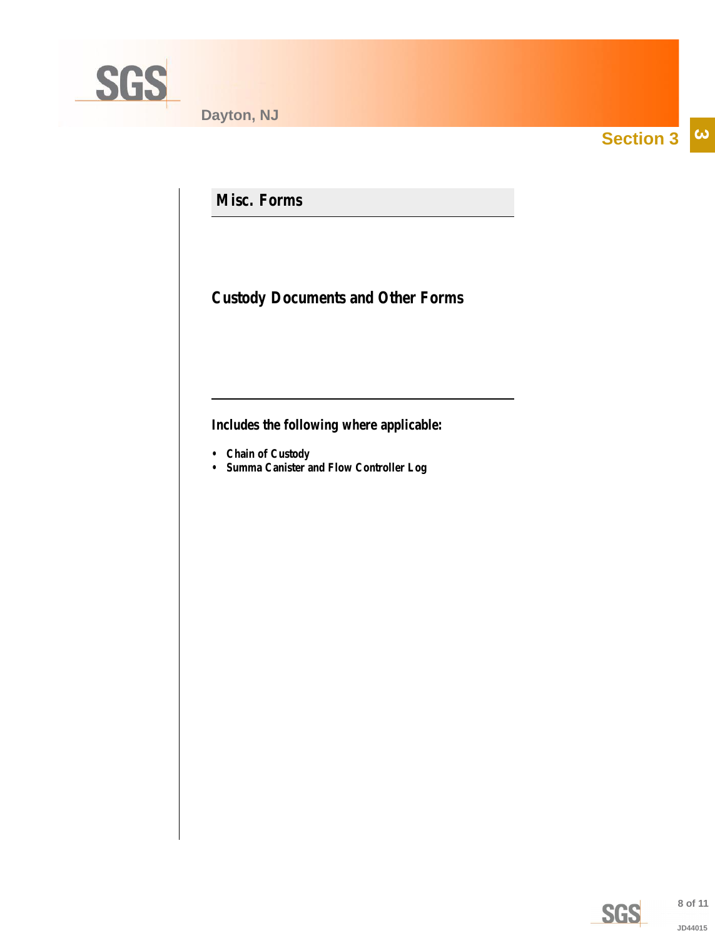<span id="page-7-0"></span>

**Section 3**  $|\boldsymbol{\omega}|$ 

**Misc. Forms**

**Custody Documents and Other Forms**

**Includes the following where applicable:**

- **Chain of Custody**
- **Summa Canister and Flow Controller Log**

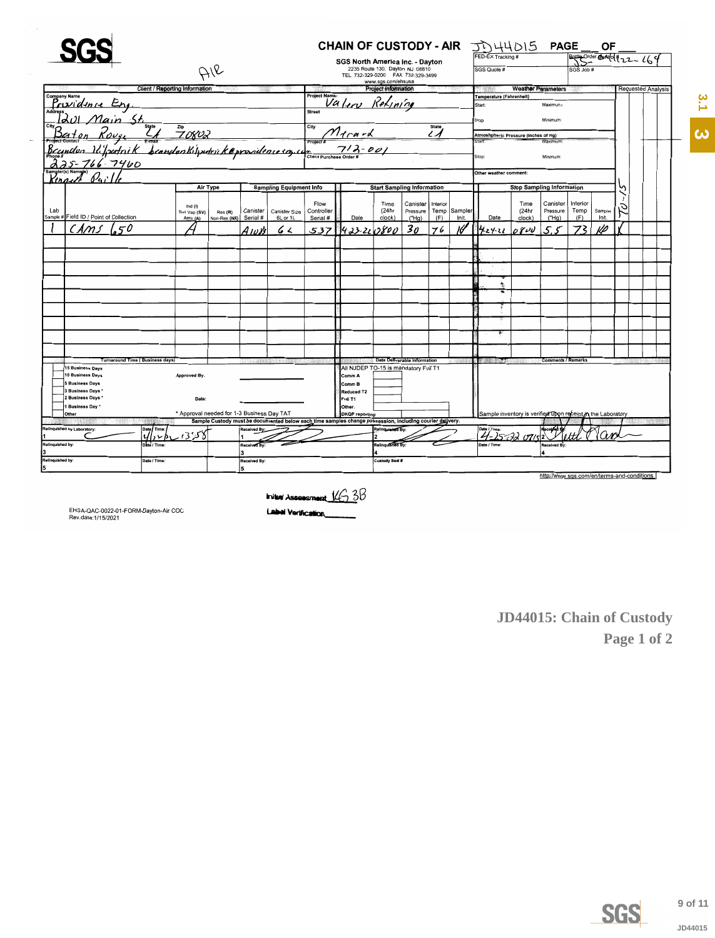<span id="page-8-0"></span>

|                                                                                                                |                                       |                                            |                        |                      |                                  |                        | CHAIN OF CUSTODY - AIR JULAUS PAGE                                                                       |                                   |                                     |                  |                  |                                                             |                                  |                                            |                                                | ОF      |   |                           |  |
|----------------------------------------------------------------------------------------------------------------|---------------------------------------|--------------------------------------------|------------------------|----------------------|----------------------------------|------------------------|----------------------------------------------------------------------------------------------------------|-----------------------------------|-------------------------------------|------------------|------------------|-------------------------------------------------------------|----------------------------------|--------------------------------------------|------------------------------------------------|---------|---|---------------------------|--|
|                                                                                                                |                                       |                                            |                        |                      |                                  |                        | <b>SGS North America Inc. - Dayton</b>                                                                   |                                   |                                     |                  |                  | FED-EX Tracking #                                           |                                  |                                            | $\frac{1}{100}$ Order OM $\frac{1}{222}$ $164$ |         |   |                           |  |
|                                                                                                                |                                       |                                            | AIR                    |                      |                                  |                        |                                                                                                          | 2235 Route 130, Dayton, NJ 08810  |                                     |                  |                  | SGS Quote #                                                 |                                  |                                            | SGS Job #                                      |         |   |                           |  |
|                                                                                                                |                                       |                                            |                        |                      |                                  |                        | TEL. 732-329-0200 FAX 732-329-3499                                                                       | www.sgs.com/ehsusa                |                                     |                  |                  |                                                             |                                  |                                            |                                                |         |   |                           |  |
|                                                                                                                | <b>Client / Reporting Information</b> |                                            |                        |                      |                                  |                        |                                                                                                          | <b>Project Information</b>        |                                     |                  |                  |                                                             | <b>Weather Parameters</b>        |                                            |                                                |         |   | <b>Requested Analysis</b> |  |
| company Name<br>Prividince Eng.                                                                                |                                       |                                            |                        |                      |                                  | <b>Project Name:</b>   |                                                                                                          |                                   |                                     |                  |                  | Temperature (Fahrenheit)                                    |                                  |                                            |                                                |         |   |                           |  |
|                                                                                                                |                                       |                                            |                        |                      |                                  |                        | Valor Refining                                                                                           |                                   |                                     |                  |                  | Start:                                                      |                                  | Maximum:                                   |                                                |         |   |                           |  |
|                                                                                                                |                                       |                                            |                        |                      |                                  | <b>Street</b>          |                                                                                                          |                                   |                                     |                  |                  | Stop                                                        |                                  | Minimum                                    |                                                |         |   |                           |  |
|                                                                                                                |                                       |                                            |                        |                      |                                  |                        |                                                                                                          |                                   |                                     | <b>State</b>     |                  |                                                             |                                  |                                            |                                                |         |   |                           |  |
|                                                                                                                |                                       |                                            |                        |                      |                                  |                        |                                                                                                          |                                   |                                     | $\mathcal{L}$    |                  | Atmoshpheric Pressure (inches of Hg)                        |                                  |                                            |                                                |         |   |                           |  |
| 11 Main St.<br><u>Ion Rouge Later 70802</u><br>Ion Infordrik beandon Kilipedrick Oppositence soy comet 712-001 |                                       |                                            |                        |                      |                                  |                        |                                                                                                          |                                   |                                     |                  |                  | <b>Start</b>                                                |                                  | Maximur                                    |                                                |         |   |                           |  |
|                                                                                                                |                                       |                                            |                        |                      |                                  |                        |                                                                                                          |                                   |                                     |                  |                  | Stop:                                                       |                                  | Minimum:                                   |                                                |         |   |                           |  |
| 766.7460                                                                                                       |                                       |                                            |                        |                      |                                  |                        |                                                                                                          |                                   |                                     |                  |                  |                                                             |                                  |                                            |                                                |         |   |                           |  |
| $\mathcal{U}_q$                                                                                                |                                       |                                            |                        |                      |                                  |                        |                                                                                                          |                                   |                                     |                  |                  | Other weather comment:                                      |                                  |                                            |                                                |         |   |                           |  |
|                                                                                                                |                                       | Air Type                                   |                        |                      | <b>Sampling Equipment Info</b>   |                        |                                                                                                          | <b>Start Sampling Information</b> |                                     |                  |                  |                                                             | <b>Stop Sampling Information</b> |                                            |                                                |         |   |                           |  |
|                                                                                                                |                                       |                                            |                        |                      |                                  |                        |                                                                                                          |                                   |                                     |                  |                  |                                                             |                                  |                                            |                                                |         |   |                           |  |
|                                                                                                                |                                       | Ind $(1)$                                  |                        |                      |                                  | Flow                   |                                                                                                          | Time<br>(24hr                     | Canister                            | Interior<br>Temp |                  |                                                             | Time<br>(24hr                    | Canister<br>Pressure                       | Interior<br>Temp                               | Sampler | с |                           |  |
| Lab<br>Sample # Field ID / Point of Collection                                                                 |                                       | Soil Vap (SV)<br>Amb (A)                   | Res(R)<br>Non-Res (NR) | Canister<br>Serial # | <b>Canister Size</b><br>6L or 1L | Controller<br>Serial # | Date                                                                                                     | clock)                            | Pressure<br>("Ha)                   | (F)              | Sampler<br>Init. | Date                                                        | clock)                           | ("Ha)                                      | (F)                                            | Init.   |   |                           |  |
|                                                                                                                |                                       |                                            |                        | $A_{10}$ 83          | 6 L                              | 537                    | 423-220800                                                                                               |                                   | 30                                  | 76               |                  | 1424.22                                                     | OPUU                             | 55                                         |                                                | vo      |   |                           |  |
|                                                                                                                |                                       |                                            |                        |                      |                                  |                        |                                                                                                          |                                   |                                     |                  |                  |                                                             |                                  |                                            |                                                |         |   |                           |  |
|                                                                                                                |                                       |                                            |                        |                      |                                  |                        |                                                                                                          |                                   |                                     |                  |                  |                                                             |                                  |                                            |                                                |         |   |                           |  |
|                                                                                                                |                                       |                                            |                        |                      |                                  |                        |                                                                                                          |                                   |                                     |                  |                  |                                                             |                                  |                                            |                                                |         |   |                           |  |
|                                                                                                                |                                       |                                            |                        |                      |                                  |                        |                                                                                                          |                                   |                                     |                  |                  |                                                             |                                  |                                            |                                                |         |   |                           |  |
|                                                                                                                |                                       |                                            |                        |                      |                                  |                        |                                                                                                          |                                   |                                     |                  |                  |                                                             |                                  |                                            |                                                |         |   |                           |  |
|                                                                                                                |                                       |                                            |                        |                      |                                  |                        |                                                                                                          |                                   |                                     |                  |                  |                                                             |                                  |                                            |                                                |         |   |                           |  |
|                                                                                                                |                                       |                                            |                        |                      |                                  |                        |                                                                                                          |                                   |                                     |                  |                  |                                                             |                                  |                                            |                                                |         |   |                           |  |
|                                                                                                                |                                       |                                            |                        |                      |                                  |                        |                                                                                                          |                                   |                                     |                  |                  |                                                             |                                  |                                            |                                                |         |   |                           |  |
|                                                                                                                |                                       |                                            |                        |                      |                                  |                        |                                                                                                          |                                   |                                     |                  |                  |                                                             |                                  |                                            |                                                |         |   |                           |  |
|                                                                                                                |                                       |                                            |                        |                      |                                  |                        |                                                                                                          |                                   |                                     |                  |                  |                                                             |                                  |                                            |                                                |         |   |                           |  |
| <b>Turnaround Time (Business days)</b>                                                                         |                                       |                                            |                        |                      |                                  |                        |                                                                                                          |                                   | <b>Data Deliverable Information</b> |                  |                  |                                                             |                                  | <b>Comments / Remarks</b>                  |                                                |         |   |                           |  |
| 15 Business Days                                                                                               |                                       |                                            |                        |                      |                                  |                        | All NJDEP TO-15 is mandatory Full T1                                                                     |                                   |                                     |                  |                  |                                                             |                                  |                                            |                                                |         |   |                           |  |
| 10 Business Days                                                                                               |                                       | Approved By:                               |                        |                      |                                  |                        | Comm A                                                                                                   |                                   |                                     |                  |                  |                                                             |                                  |                                            |                                                |         |   |                           |  |
| 5 Business Days                                                                                                |                                       |                                            |                        |                      |                                  |                        | Comm B                                                                                                   |                                   |                                     |                  |                  |                                                             |                                  |                                            |                                                |         |   |                           |  |
| 3 Business Days<br>2 Business Days *                                                                           |                                       |                                            |                        |                      |                                  |                        | Reduced T2                                                                                               |                                   |                                     |                  |                  |                                                             |                                  |                                            |                                                |         |   |                           |  |
| 1 Business Day                                                                                                 |                                       | Date:                                      |                        |                      |                                  |                        | Full T1<br>Other:                                                                                        |                                   |                                     |                  |                  |                                                             |                                  |                                            |                                                |         |   |                           |  |
| Other                                                                                                          |                                       | * Approval needed for 1-3 Business Day TAT |                        |                      |                                  |                        | <b>DKQP</b> reporting                                                                                    |                                   |                                     |                  |                  | Sample inventory is verified upon receipt in the Laboratory |                                  |                                            |                                                |         |   |                           |  |
|                                                                                                                |                                       |                                            |                        |                      |                                  |                        | Sample Custody must be documented below each time samples change possession, including courier delivery. |                                   |                                     |                  |                  |                                                             |                                  |                                            |                                                |         |   |                           |  |
| Relinquished by Laboratory:                                                                                    | Date∫ Time                            | 358                                        |                        | Received By          |                                  |                        |                                                                                                          | Relinquished By                   |                                     |                  |                  | Date / Time:<br>$4 - 25 - 3207152$                          |                                  |                                            |                                                |         |   |                           |  |
| Relinquished by:                                                                                               | Date / Time                           |                                            |                        | Received By          |                                  |                        |                                                                                                          | Relinguished By:                  |                                     |                  |                  |                                                             |                                  | Received By                                |                                                |         |   |                           |  |
|                                                                                                                |                                       |                                            |                        | я                    |                                  |                        |                                                                                                          |                                   |                                     |                  |                  |                                                             |                                  |                                            |                                                |         |   |                           |  |
| Relinquished by:                                                                                               | Date / Time                           |                                            |                        | Received By:         |                                  |                        |                                                                                                          | Custody Seal #                    |                                     |                  |                  |                                                             |                                  |                                            |                                                |         |   |                           |  |
| 5                                                                                                              |                                       |                                            |                        |                      |                                  |                        |                                                                                                          |                                   |                                     |                  |                  |                                                             |                                  |                                            |                                                |         |   |                           |  |
|                                                                                                                |                                       |                                            |                        |                      |                                  |                        |                                                                                                          |                                   |                                     |                  |                  |                                                             |                                  | http://www.sgs.com/en/terms-and-conditions |                                                |         |   |                           |  |



Label Verification

EHSA-QAC-0022-01-FORM-Dayton-Air COC<br>Rev.date:1/15/2021

JD44015: Chain of Custody Page 1 of 2



JD44015

3.1 3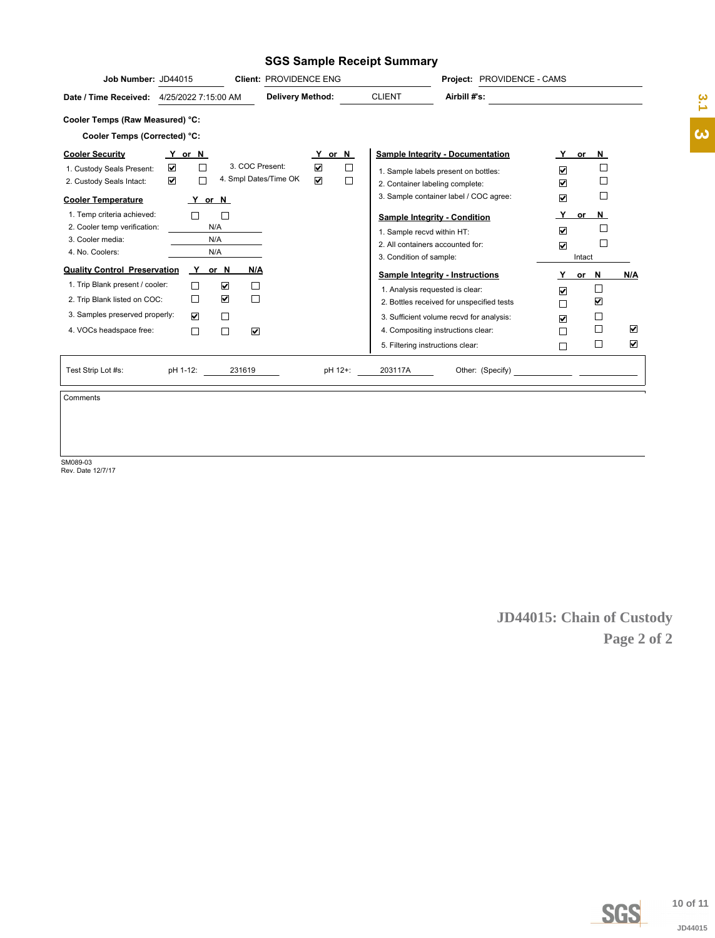### **SGS Sample Receipt Summary**

| Job Number: JD44015<br><b>Client: PROVIDENCE ENG</b>                     |                                | Project: PROVIDENCE - CAMS                |                         |                                                                                                                      |                      |
|--------------------------------------------------------------------------|--------------------------------|-------------------------------------------|-------------------------|----------------------------------------------------------------------------------------------------------------------|----------------------|
| <b>Delivery Method:</b><br>4/25/2022 7:15:00 AM<br>Date / Time Received: | <b>CLIENT</b>                  | Airbill #'s:                              |                         |                                                                                                                      |                      |
| Cooler Temps (Raw Measured) °C:                                          |                                |                                           |                         |                                                                                                                      |                      |
| Cooler Temps (Corrected) °C:                                             |                                |                                           |                         |                                                                                                                      |                      |
| <b>Cooler Security</b><br>Y or N                                         | Y or N                         | <b>Sample Integrity - Documentation</b>   | Y                       | or N                                                                                                                 |                      |
| 3. COC Present:<br>☑<br>П<br>1. Custody Seals Present:                   | $\blacktriangledown$<br>$\Box$ | 1. Sample labels present on bottles:      | $\overline{\mathbf{v}}$ | $\Box$                                                                                                               |                      |
| 4. Smpl Dates/Time OK<br>☑<br>П<br>2. Custody Seals Intact:              | $\blacktriangledown$<br>$\Box$ | 2. Container labeling complete:           | $\overline{\mathbf{v}}$ | $\Box$                                                                                                               |                      |
| <b>Cooler Temperature</b><br>Y or N                                      |                                | 3. Sample container label / COC agree:    | ☑                       | $\Box$                                                                                                               |                      |
| 1. Temp criteria achieved:<br>$\mathbf{I}$                               |                                | <b>Sample Integrity - Condition</b>       | Y                       | or $N$                                                                                                               |                      |
| N/A<br>2. Cooler temp verification:                                      |                                | 1. Sample recvd within HT:                | ☑                       | $\Box$                                                                                                               |                      |
| 3. Cooler media:<br>N/A                                                  |                                | 2. All containers accounted for:          | $\overline{\mathbf{v}}$ | Г                                                                                                                    |                      |
| N/A<br>4. No. Coolers:                                                   |                                | 3. Condition of sample:                   |                         | Intact                                                                                                               |                      |
| <b>Quality Control Preservation</b><br>Y<br>or N<br>N/A                  |                                | <b>Sample Integrity - Instructions</b>    |                         | or N                                                                                                                 | N/A                  |
| 1. Trip Blank present / cooler:<br>☑<br>П                                |                                | 1. Analysis requested is clear:           | $\overline{\mathbf{v}}$ | ⊔                                                                                                                    |                      |
| ☑<br>П<br>$\mathbf{1}$<br>2. Trip Blank listed on COC:                   |                                | 2. Bottles received for unspecified tests | П                       | ☑                                                                                                                    |                      |
| $\Box$<br>3. Samples preserved properly:<br>☑                            |                                | 3. Sufficient volume recvd for analysis:  | ☑                       | □                                                                                                                    |                      |
| $\Box$<br>☑<br>4. VOCs headspace free:                                   |                                | 4. Compositing instructions clear:        | П                       | П                                                                                                                    | $\blacktriangledown$ |
|                                                                          |                                | 5. Filtering instructions clear:          | П                       | ⊔                                                                                                                    | $\blacktriangledown$ |
| pH 1-12:<br>Test Strip Lot #s:<br>231619                                 | pH 12+:<br>203117A             | Other: (Specify)                          |                         | <u> 1999 - Albert Standard Barbara, poeta poeta poeta poeta poeta poeta poeta poeta poeta poeta poeta poeta poet</u> |                      |

Comments

SM089-03 Rev. Date 12/7/17

**JD44015: Chain of Custody Page 2 of 2**



**[3](#page-1-0).2**<br> **3.1**<br> **3.1**<br> **3.1**<br> **3.1** JD44015